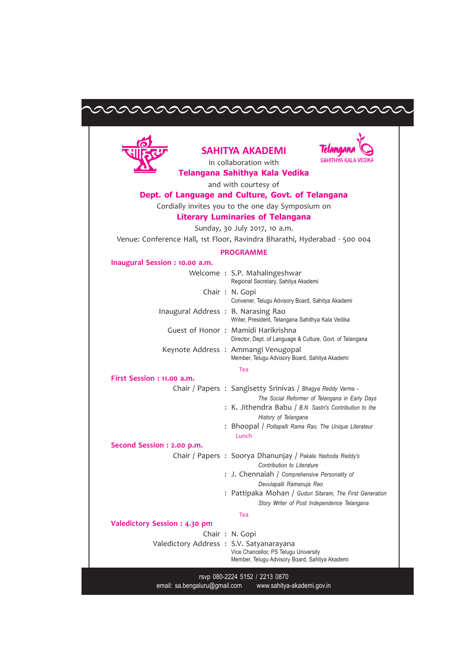# EEEEEEEEEEEEEEEEEEEEEEEEEE



## SAHITYA AKADEMI



in collaboration with Telangana Sahithya Kala Vedika

and with courtesy of

## Dept. of Language and Culture, Govt. of Telangana

Cordially invites you to the one day Symposium on

### Literary Luminaries of Telangana

Sunday, 30 July 2017, 10 a.m.

Venue: Conference Hall, 1st Floor, Ravindra Bharathi, Hyderabad - 500 004

#### PROGRAMME

#### Inaugural Session : 10.00 a.m.

|                                          | Welcome: S.P. Mahalingeshwar<br>Regional Secretary, Sahitya Akademi                                           |
|------------------------------------------|---------------------------------------------------------------------------------------------------------------|
|                                          | Chair: N. Gopi<br>Convener, Telugu Advisory Board, Sahitya Akademi                                            |
| Inaugural Address: B. Narasing Rao       | Writer, President, Telangana Sahithya Kala Vedika                                                             |
|                                          | Guest of Honor: Mamidi Harikrishna<br>Director, Dept. of Language & Culture, Govt. of Telangana               |
|                                          | Keynote Address: Ammangi Venugopal<br>Member, Telugu Advisory Board, Sahitya Akademi                          |
|                                          | Tea                                                                                                           |
| First Session : 11.00 a.m.               |                                                                                                               |
|                                          | Chair / Papers : Sangisetty Srinivas / Bhagya Reddy Varma -<br>The Social Reformer of Telangana in Early Days |
|                                          | : K. Jithendra Babu / B.N. Sastri's Contribution to the<br>History of Telangana                               |
|                                          | : Bhoopal / Potlapalli Rama Rao, The Unique Literateur<br>Lunch                                               |
| Second Session : 2.00 p.m.               |                                                                                                               |
|                                          | Chair / Papers : Soorya Dhanunjay / Pakala Yashoda Reddy's<br>Contribution to Literature                      |
|                                          | : J. Chennaiah / Comprehensive Personality of<br>Devulapalli Ramanuja Rao                                     |
|                                          | : Pattipaka Mohan / Guduri Sitaram, The First Generation<br>Story Writer of Post Independence Telangana       |
|                                          | Tea                                                                                                           |
| Valedictory Session : 4.30 pm            |                                                                                                               |
|                                          | Chair: N. Gopi                                                                                                |
| Valedictory Address : S.V. Satyanarayana | Vice Chancellor, PS Telugu University<br>Member, Telugu Advisory Board, Sahitya Akademi                       |
|                                          |                                                                                                               |

rsvp 080-2224 5152 / 2213 0870 email: sa.bengaluru@gmail.com www.sahitya-akademi.gov.in